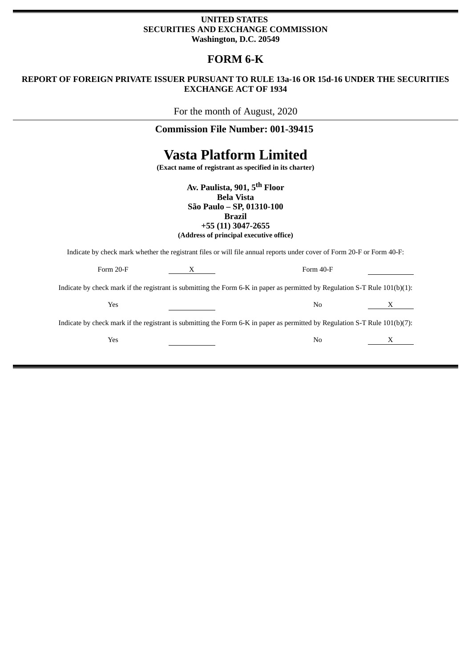#### **UNITED STATES SECURITIES AND EXCHANGE COMMISSION Washington, D.C. 20549**

## **FORM 6-K**

### **REPORT OF FOREIGN PRIVATE ISSUER PURSUANT TO RULE 13a-16 OR 15d-16 UNDER THE SECURITIES EXCHANGE ACT OF 1934**

For the month of August, 2020

## **Commission File Number: 001-39415**

# **Vasta Platform Limited**

**(Exact name of registrant as specified in its charter)**

**Av. Paulista, 901, 5th Floor Bela Vista São Paulo – SP, 01310-100 Brazil +55 (11) 3047-2655 (Address of principal executive office)**

Indicate by check mark whether the registrant files or will file annual reports under cover of Form 20-F or Form 40-F:

| Form 20-F                                                                                                                   |  | Form 40-F |              |
|-----------------------------------------------------------------------------------------------------------------------------|--|-----------|--------------|
| Indicate by check mark if the registrant is submitting the Form 6-K in paper as permitted by Regulation S-T Rule 101(b)(1): |  |           |              |
| Yes                                                                                                                         |  | No        | $\mathbf{X}$ |
| Indicate by check mark if the registrant is submitting the Form 6-K in paper as permitted by Regulation S-T Rule 101(b)(7): |  |           |              |
| Yes                                                                                                                         |  | No        |              |
|                                                                                                                             |  |           |              |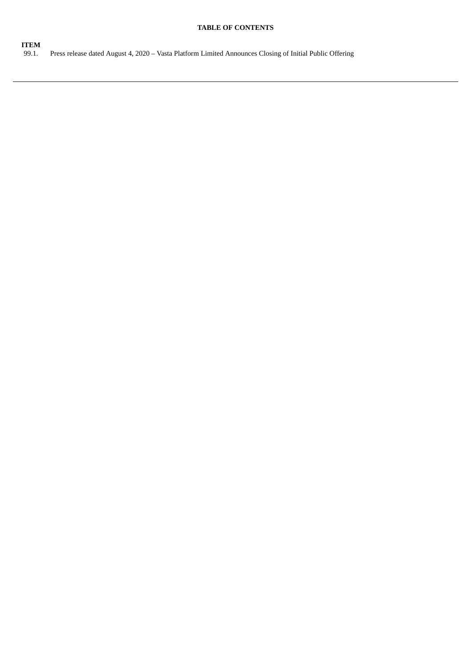#### **TABLE OF CONTENTS**

**ITEM**<br>99.1. Press release dated August 4, 2020 – Vasta Platform Limited Announces Closing of Initial Public Offering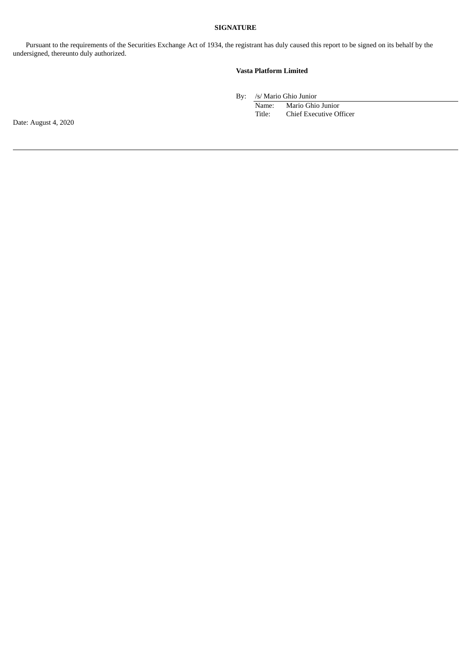#### **SIGNATURE**

Pursuant to the requirements of the Securities Exchange Act of 1934, the registrant has duly caused this report to be signed on its behalf by the undersigned, thereunto duly authorized.

#### **Vasta Platform Limited**

By: /s/ Mario Ghio Junior

Name: Mario Ghio Junior Title: Chief Executive Officer

Date: August 4, 2020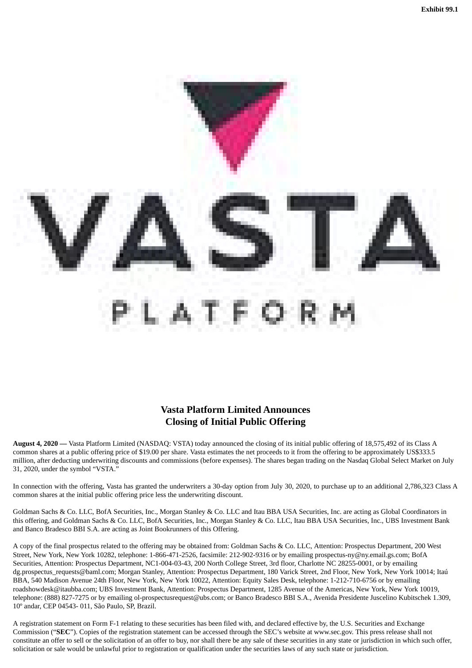

## **Vasta Platform Limited Announces Closing of Initial Public Offering**

**August 4, 2020 —** Vasta Platform Limited (NASDAQ: VSTA) today announced the closing of its initial public offering of 18,575,492 of its Class A common shares at a public offering price of \$19.00 per share. Vasta estimates the net proceeds to it from the offering to be approximately US\$333.5 million, after deducting underwriting discounts and commissions (before expenses). The shares began trading on the Nasdaq Global Select Market on July 31, 2020, under the symbol "VSTA."

In connection with the offering, Vasta has granted the underwriters a 30-day option from July 30, 2020, to purchase up to an additional 2,786,323 Class A common shares at the initial public offering price less the underwriting discount.

Goldman Sachs & Co. LLC, BofA Securities, Inc., Morgan Stanley & Co. LLC and Itau BBA USA Securities, Inc. are acting as Global Coordinators in this offering, and Goldman Sachs & Co. LLC, BofA Securities, Inc., Morgan Stanley & Co. LLC, Itau BBA USA Securities, Inc., UBS Investment Bank and Banco Bradesco BBI S.A. are acting as Joint Bookrunners of this Offering.

A copy of the final prospectus related to the offering may be obtained from: Goldman Sachs & Co. LLC, Attention: Prospectus Department, 200 West Street, New York, New York 10282, telephone: 1-866-471-2526, facsimile: 212-902-9316 or by emailing prospectus-ny@ny.email.gs.com; BofA Securities, Attention: Prospectus Department, NC1-004-03-43, 200 North College Street, 3rd floor, Charlotte NC 28255-0001, or by emailing dg.prospectus\_requests@baml.com; Morgan Stanley, Attention: Prospectus Department, 180 Varick Street, 2nd Floor, New York, New York 10014; Itaú BBA, 540 Madison Avenue 24th Floor, New York, New York 10022, Attention: Equity Sales Desk, telephone: 1-212-710-6756 or by emailing roadshowdesk@itaubba.com; UBS Investment Bank, Attention: Prospectus Department, 1285 Avenue of the Americas, New York, New York 10019, telephone: (888) 827-7275 or by emailing ol-prospectusrequest@ubs.com; or Banco Bradesco BBI S.A., Avenida Presidente Juscelino Kubitschek 1.309, 10º andar, CEP 04543- 011, São Paulo, SP, Brazil.

A registration statement on Form F-1 relating to these securities has been filed with, and declared effective by, the U.S. Securities and Exchange Commission ("**SEC**"). Copies of the registration statement can be accessed through the SEC's website at www.sec.gov. This press release shall not constitute an offer to sell or the solicitation of an offer to buy, nor shall there be any sale of these securities in any state or jurisdiction in which such offer, solicitation or sale would be unlawful prior to registration or qualification under the securities laws of any such state or jurisdiction.